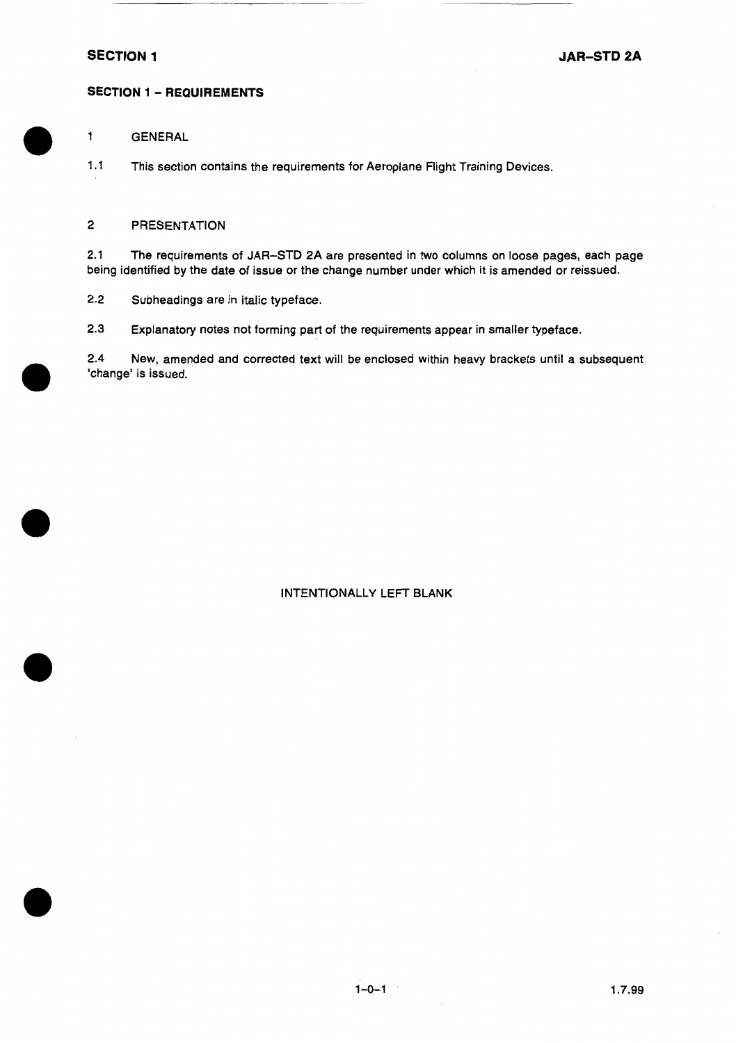# **SECTION 1**

*0* 

# **SECTION 1** - **REQUIREMENTS**

# **1** GENERAL

**1.1** This section contains the requirements for Aeroplane Flight Training Devices.

# **2 PRESENTATION**

**2.1**  being identified by the date of issue or the change number under which it is amended or reissued. The requirements of JAR-STD 2A are presented in two columns on loose pages, each page

**2.2** Subheadings are in italic typeface.

**2.3** Explanatory notes not forming part of the requirements appear in smaller typeface.

2.4 'change' is issued. New, amended and corrected text will be enclosed within heavy brackets until a subsequent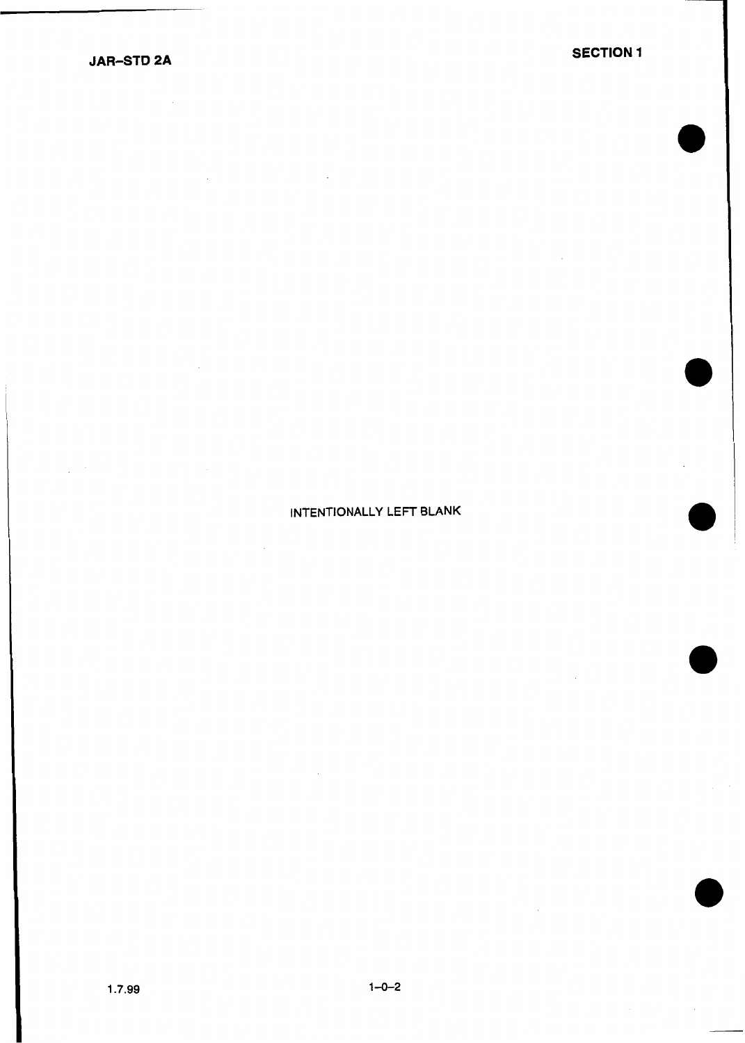$\mathcal{A}$ 

# **INTENTIONALLY LEFT BLANK**

 $\overline{\phantom{a}}$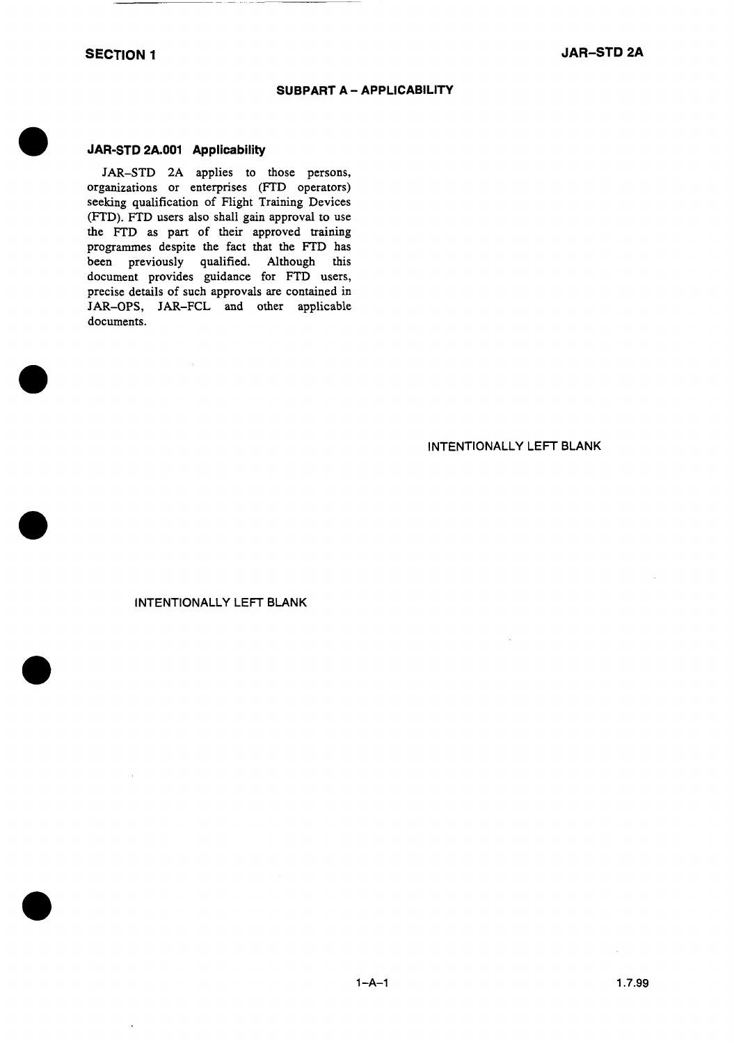# **SUBPART A** - **APPLICABILITY**

# **JAR-STD 2A.001 Applicability**

JAR-STD 2A applies to those persons, organizations or enterprises **(FTD** operators) seeking qualification of Flight Training Devices (FTD). **FTD** users also shall gain approval to use the FTD as part of their approved training programmes despite the fact that the **FTD** has been previously qualified. Although this document provides guidance for FTD users, precise details of such approvals are contained in JAR-OPS, JAR-FCL and other applicable documents.

 $\bar{z}$ 

 $\cdots$ 

#### INTENTIONALLY LEFT BLANK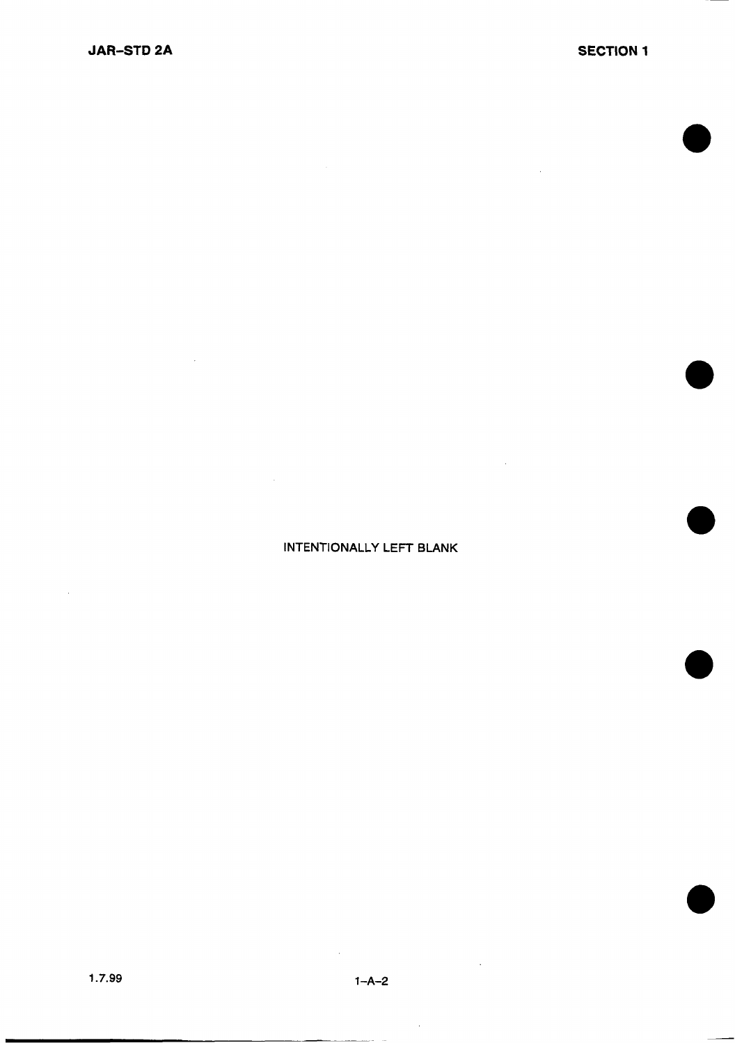$\mathcal{L}_{\mathcal{A}}$ 

 $\overline{\phantom{a}}$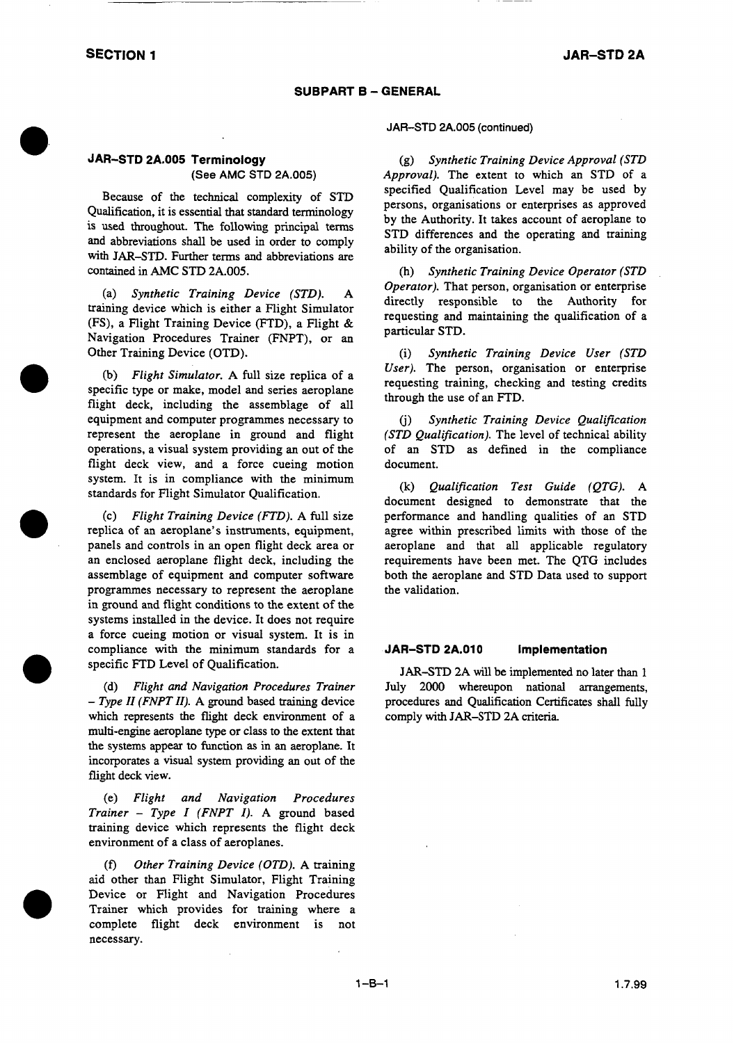#### **SUBPART B -GENERAL**

*0* 

*0* 

# *0* **JAR-STD 2A.005 Terminology**

Because of the technical complexity of STD Qualification, it is essential that standard terminology is used throughout. The following principal terms and abbreviations shall be used in order to comply with JAR-STD. Further terms and abbreviations are contained in AMC STD 2A.005.

training device which is either a Flight Simulator (FS), a Flight Training Device (FTD), a Flight & Navigation Procedures Trainer (FNPT), or an Other Training Device (OTD). (i) *Synthetic Training Device User (STD* 

(b) *Flight Simulator.* **A** full size replica of a specific type or make, model and series aeroplane flight deck, including the assemblage of all equipment and computer programmes necessary to (j) *Synthetic Training Device Qualification* represent the aeroplane in ground and flight (*STD Oualification*). The level of technical ability represent the aeroplane in ground and flight operations, a visual system providing an out of the of an STD as defined in the compliance flight deck view, and a force cueing motion document. system. It is in compliance with the minimum standards for Flight Simulator Qualification.

*Flight Training Device (FTD).* A full size replica of **an** aeroplane's instruments, equipment, panels and controls in an open flight deck area or an enclosed aeroplane flight deck, including the assemblage of equipment and computer software programmes necessary to represent the aeroplane in ground and flight conditions to the extent of the systems installed in the device. It does not require a force cueing motion or visual system. It is in compliance With the minimum standards for a specific FTD Level of Qualification. standa<br>(c)<br>replica<br>panels

> *Flight and Navigation Procedures Trainer*  (d) - *Type II (FNPT II).* A ground based training device which represents the flight deck environment of a multi-engine aeroplane type or class to the extent that the systems appear to function **as** in an aeroplane. It incorporates a visual system providing an out of the fight deck view.

> (e) *Flight and Navigation Procedures Trainer* - *Type I (FNPT I).* A ground based training device which represents the flight deck environment of a class of aeroplanes.

> *Other Training Device (OTD).* A training aid other than Flight Simulator, Flight Training Device or Flight and Navigation Procedures Trainer which provides **for** training where a complete flight deck environment is not necessary. *(f)*

#### JAR-STD 2A.005 (continued)

(g) *Synthetic Training Device Approval (STD*  Approval). The extent to which an STD of a specified Qualification Level may be used by persons, Organisations or enterprises as approved by the Authority. It takes account of aeroplane to STD differences and the operating and training ability of the organisation.

(h) Synthetic Training Device Operator (STD *Operator).* That person, Organisation or enterprise requesting and maintaining the qualification of a particular STD. (a) *'Ynthetic Training Device (sTD).* A directly responsible to the Authofity for

> *User).* The person, Organisation or enterprise requesting training, checking and testing credits through the use of an FTD.

**(k)** *Qualification Test Guide (QTG).* A document designed to demonstrate that the performance and handling qualities of an STD agree within prescribed limits with those of the aeroplane and that all applicable regulatory requirements have been met. The QTG includes both the aeroplane and STD Data used to support the validation.

#### **JAR-STD 2A.010 Implementation**

**JAR-STD** 2A will be implemented no later than 1 July 2000 whereupon national arrangements, procedures and Qualification Certificates shall fully comply with JAR-STD 2A criteria.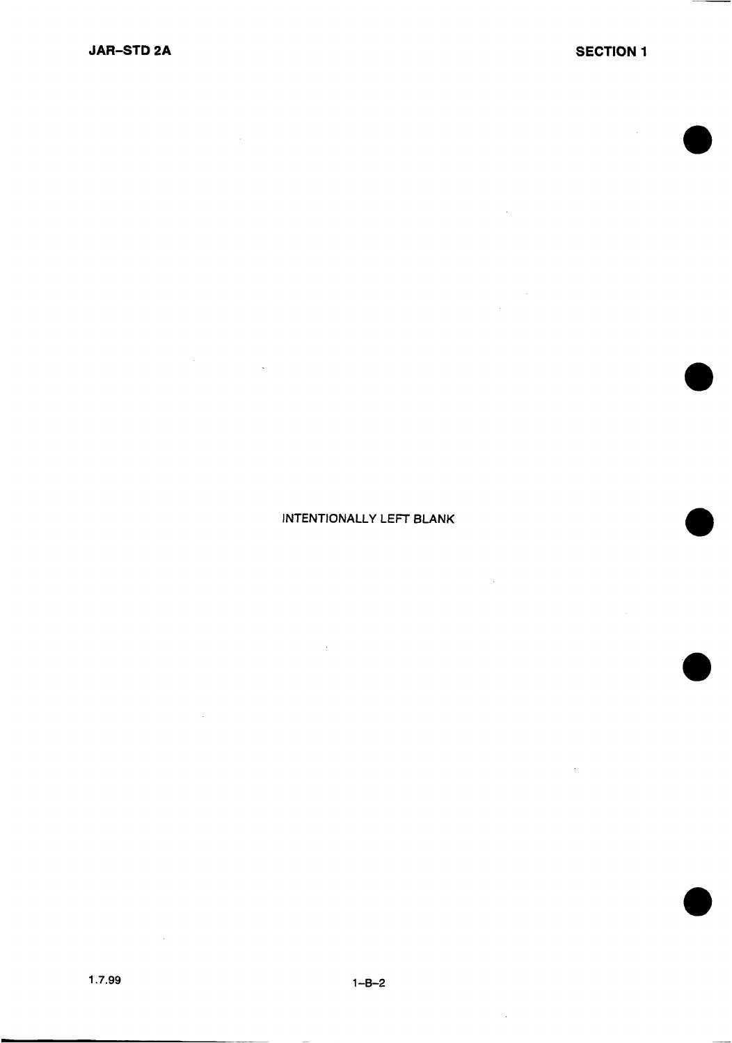$\mathcal{L}_{\mathcal{A}}$ 

 $\bar{z}$ 

 $\sim 10$ 

# **INTENTIONALLY LEFT BLANK**

l,

 $\mathbb{R}^2$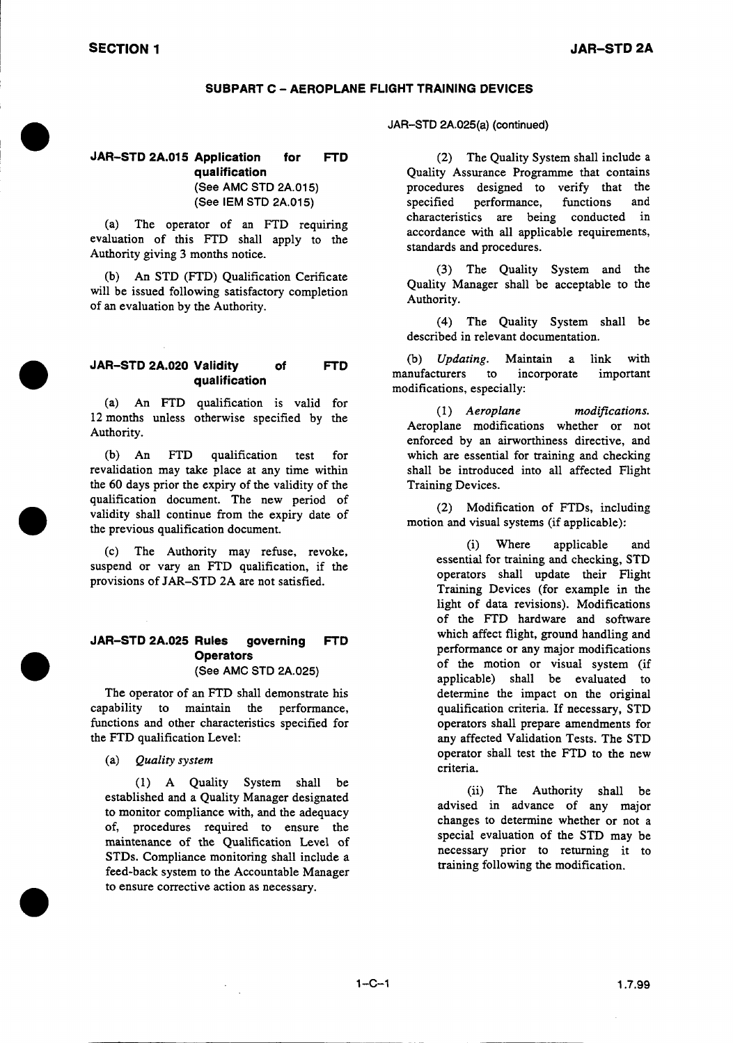# **SUBPART C** - **AEROPLANE FLIGHT TRAINING DEVICES**

### **e JAR-STD 2A.015 Application for FTD qualification**  *(See* AMC **STD** 2A.015) (See IEM STD 2A.015)

(a) The operator of an FTD requiring evaluation of this FTD shall apply to the Authority giving 3 months notice.

An STD (FTD) Qualification Cerificate (b) will be issued following satisfactory completion of an evaluation by the Authority.

(a) An FTD qualification is valid for 12 months unless otherwise specified by the Authority.

(b) An **FTD** qualification test for revalidation may take place at any time within the **60** days prior the expiry of the validity of the qualification document. The new period of validity shall continue from the expiry date of the previous qualification document.

(c) The Authority may refuse, revoke, suspend or vary an FTD qualification, if the provisions of JAR-STD 2A are not satisfied.

#### **JAR-STD 2A.025 Rules governing FTD Operators**  (See AMC STD 2A.025)

The operator of an FTD shall demonstrate his capability to maintain the performance, functions and other characteristics specified for the FTD qualification Level:

(a) *Quality system* 

*0* 

(1) A Quality System shall be established and a Quality Manager designated to monitor compliance with, and the adequacy of, procedures required to ensure the maintenance of the Qualification Level of STDs. Compliance monitoring shall include a feed-back system to the Accountable Manager to ensure corrective action as necessary.

JAR-STD 2A.O25(a) (continued)

**(2)** The Quality System shall include a Quality Assurance Programme that contains procedures designed to verify that the specified performance, functions and characteristics are being conducted in accordance **with** all applicable requirements, standards and procedures.

(3) The Quality System and the Quality Manager shall be acceptable to the Authority.

**(4)** The Quality System shall be described in relevant documentation.

(b) *Updating.* Maintain a link with JAR-STD 2A.020 Validity of FTD (b) Updating. Maintain a link with<br>
qualification<br>
(a) An FTD qualification is valid for

(1) *Aeroplane modifications.*  Aeroplane modifications whether or not enforced by an airworthiness directive, and which are essential for training and checking shall be introduced into all affected Flight Training Devices.

(2) Modification of FTDs, including motion and visual systems (if applicable):

> (i) Where applicable and essential for training and checking, STD operators shall update their Flight Training Devices (for example in the light of data revisions). Modifications of the FTD hardware and software which affect flight, ground handling and performance or any major modifications of the motion or visual system (if applicable) shall be evaluated to determine the impact on the original qualification criteria. If necessary, STD operators shall prepare amendments for any affected Validation Tests. The STD operator shall test the FTD to the new criteria.

> (ii) The Authority shall be advised in advance of any major changes to determine whether or not a special evaluation of the **STD** may be necessary prior to returning it to training following the modification.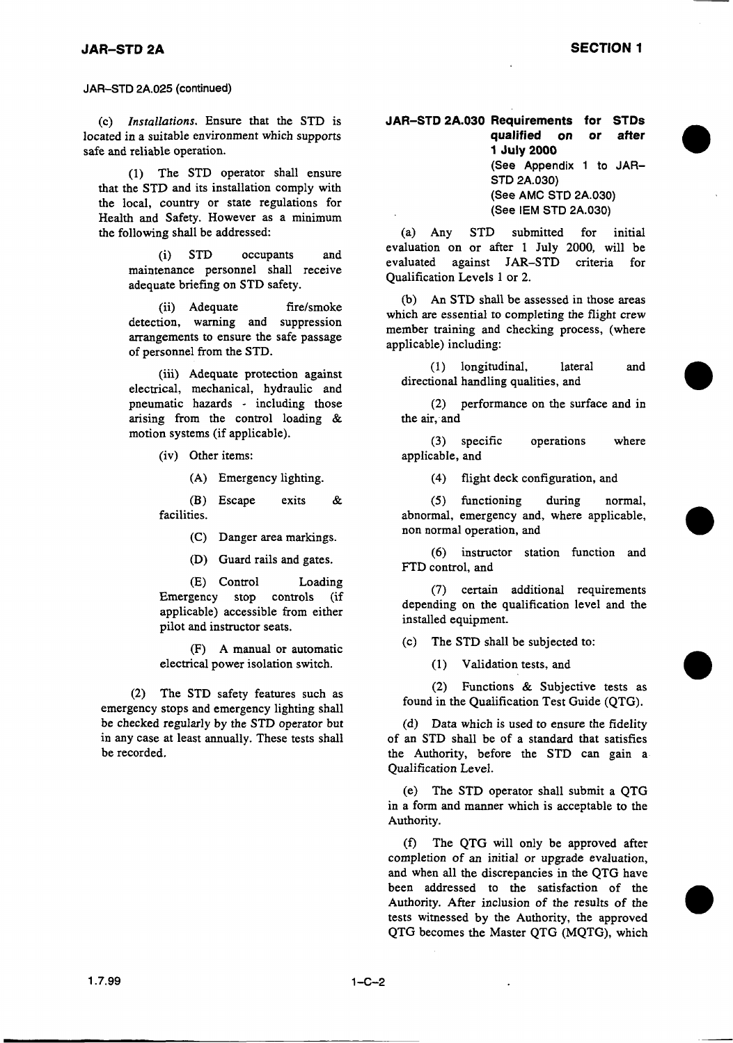### **JAR-STD 2A.025 (continued)**

(c) *Installations.* Ensure that the STD is located in a suitable environment which supports safe and reliable operation.

(1) The STD operator shall ensure that the STD and its installation comply with the local, country or state regulations for Health and Safety. However as a minimum the following shall be addressed:

> (i) STD occupants and maintenance personnel shall receive adequate briefing on STD safety.

> (ii) Adequate fire/smoke detection, warning and suppression arrangements to ensure the safe passage of personnel from the STD.

> (iii) Adequate protection against electrical, mechanical, hydraulic and pneumatic hazards - including those arising from the control loading & motion systems (if applicable).

> > (iv) Other items:

(A) Emergency lighting.

(B) Escape exits & facilities.

(C) Danger area markings.

(D) Guard rails and gates.

(E) Control Loading Emergency stop controls (if applicable) accessible from either pilot and instructor seats.

(F) A manual or automatic electrical power isolation switch.

**(2)** The STD safety features such as emergency stops and emergency lighting shall be checked regularly by the STD operator but in any case at least annually. These tests shall be recorded.

**JAR-STD 2A.030 Requirements for STDs qualified** *on* **or after 1 July2000 (See Appendix 1 to JAR-STD 2A.030) (See AMC STD 2A.030) (See IEM STD 2A.030)** 

(a) Any STD submitted for initial evaluation on or after 1 July 2000, will be evaluated against JAR-STD criteria for Qualification Levels 1 or 2.

An STD shall be assessed in those areas **(b)**  which are essential to completing the flight crew member training and checking process, (where applicable) including:

(1) longitudinal, lateral and directional handling qualities, and

(2) performance on the surface and in the air, and

(3) specific operations where applicable, and

**(4)** flight deck configuration, and

*(5)* functioning during normal, abnormal, emergency and, where applicable, non normal operation, and

(6) instructor station function and FTD control, and

(7) certain additional requirements depending on the qualification level and the installed equipment.

(c) The STD shall be subjected to:

(1) Validation tests, and

(2) Functions & Subjective tests as found in the Qualification Test Guide (QTG).

(d) Data which is used to ensure the fidelity of an STD shall be of a standard that satisfies the Authority, before the STD can gain a Qualification Level.

(e) The STD operator shall submit a QTG in a form and manner which is acceptable to the Authority.

(f) The QTG will only be approved after completion of an initial or upgrade evaluation, and when all the discrepancies in the QTG have been addressed to the satisfaction of the Authority. After inclusion of the results of the tests witnessed by the Authority, the approved QTG becomes the Master QTG (MQTG), which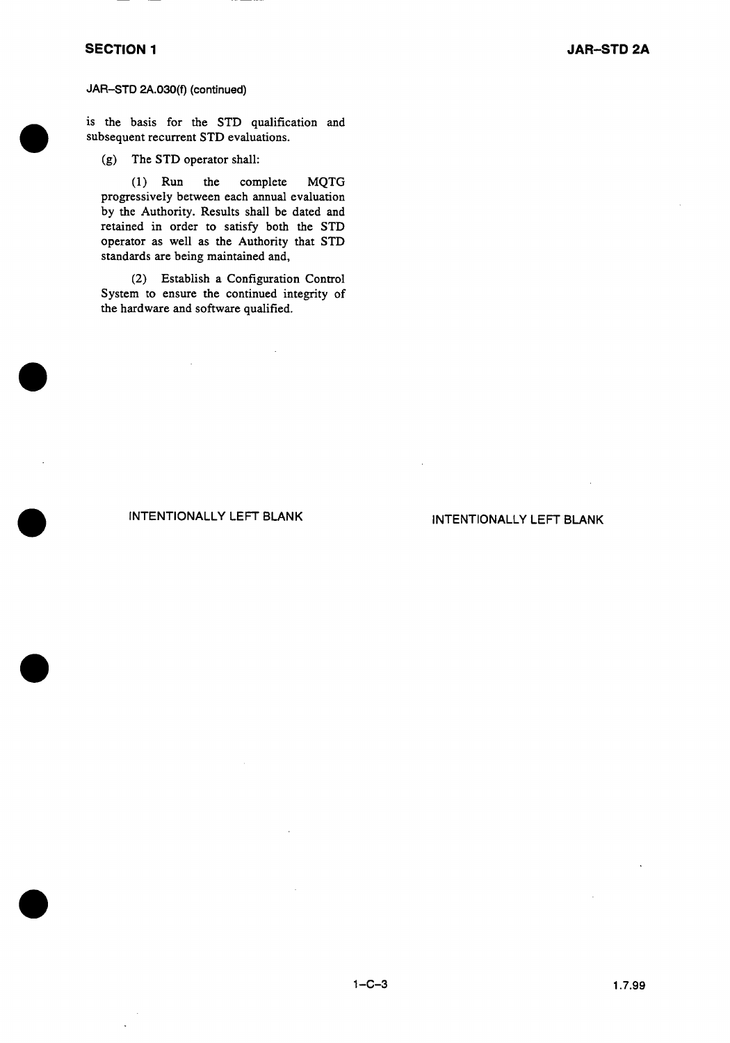## JAR-STD **2A.030(9** (continued)

is the basis for the **STD** qualification and subsequent recurrent **STD** evaluations.

**(g)** The **STD** operator shall:

(1) Run the complete **MQTG**  progressively between each annual evaluation by the Authority. Results shall be dated and retained in order to satisfy both the **STD**  operator as well as the Authority that **STD**  standards are being maintained and,

(2) Establish a Configuration Control System to ensure the continued integrity **of**  the hardware and software qualified.

 $\mathcal{L}$ 

# INTENTIONALLY LEFT BLANK INTENTIONALLY LEFT BLANK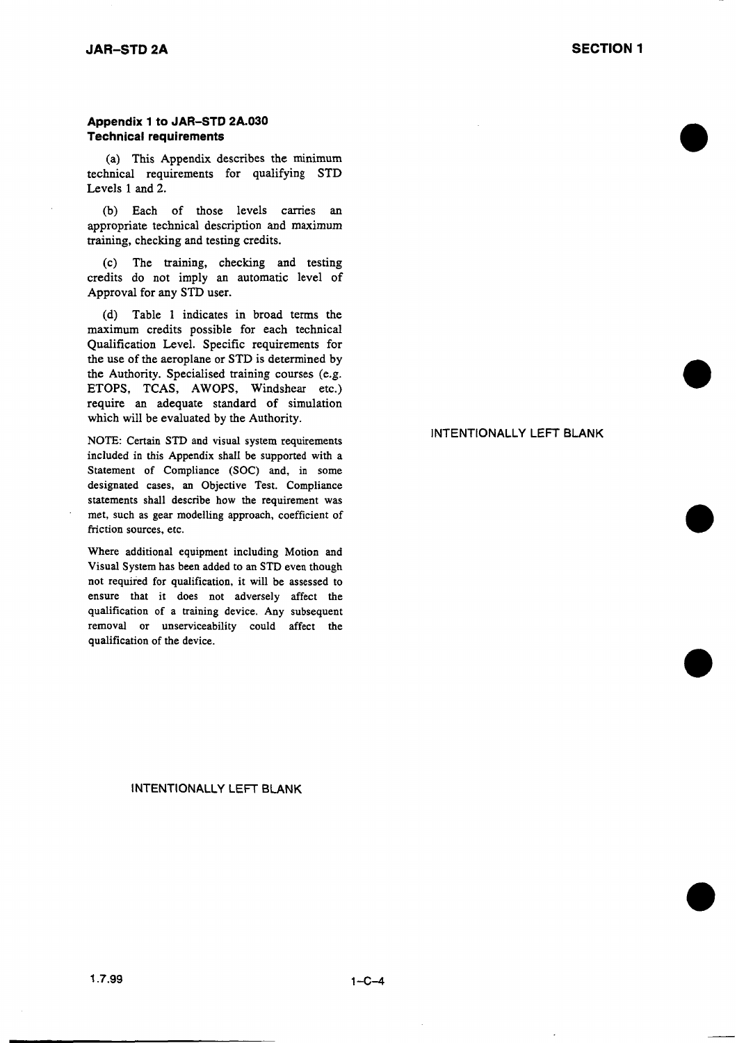#### **Appendix 1 to JAR-STD 2A.030 Technical requirements**

(a) This Appendix describes the minimum technical requirements for qualifying STD Levels 1 and 2.

(b) Each of those levels carries an appropriate technical description and maximum training, checking and testing credits.

(c) The training, checking and testing credits do not imply an automatic level of Approval for any STD user.

(d) Table 1 indicates in broad terms the maximum credits possible for each technical Qualification Level. Specific requirements for the use of the aeroplane or STD is determined by the Authority. Specialised training courses (e.g. **ETOPS,** TCAS, AWOPS, Windshear etc.) require an adequate standard of simulation which will be evaluated by the Authority.

**NOTE:** Certain **STD** and visual system requirements included in this Appendix shalI be supported with a Statement of Compliance (SOC) and, in some designated cases, **an** Objective Test. Compliance statements shall describe how the requirement was met, such as gear modelling approach, coefficient of friction sources, etc.

Where additional equipment including Motion and Visual System has been added to an STD even though not required for qualification, it will be assessed to ensure that it does not adversely affect the qualification of a training device. Any subsequent removal or unserviceability could affect the qualification of the device.

INTENTIONALLY **LEFT** BLANK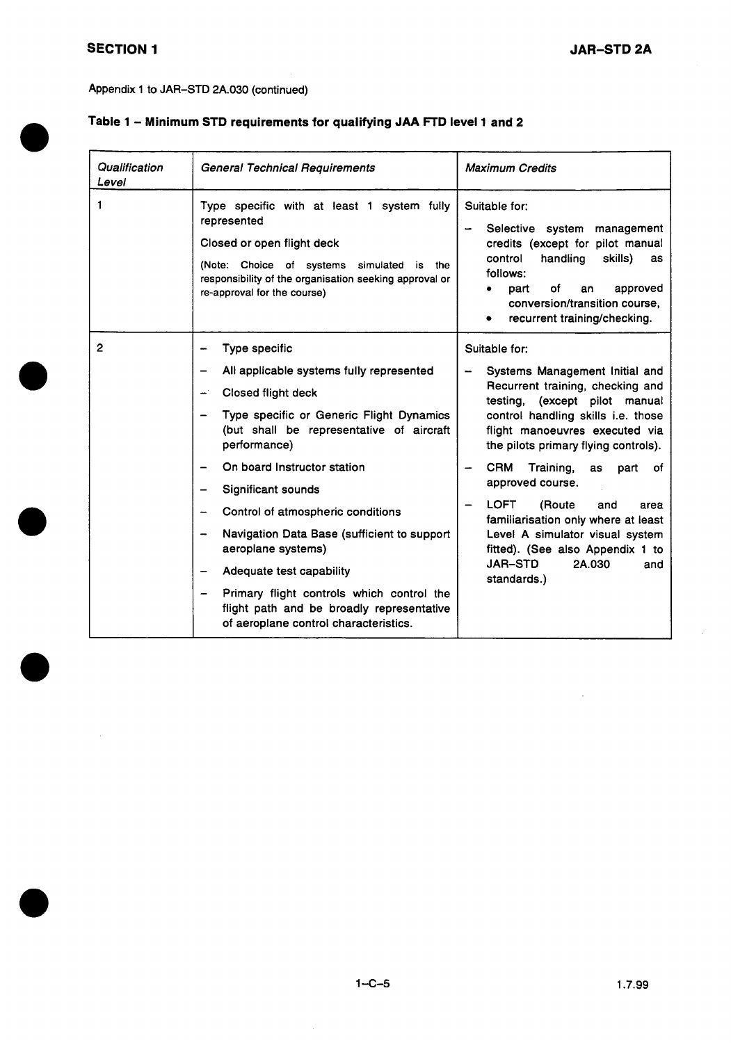$\sim$ 

Appendix 1 to JAR-STD **2A.030** (continued)

| Table 1 - Minimum STD requirements for qualifying JAA FTD level 1 and 2 |
|-------------------------------------------------------------------------|
|-------------------------------------------------------------------------|

| Qualification<br>Level | <b>General Technical Requirements</b>                                                                                                                                                                                                                                                                                                                                                                                                                                                                                                                    | <b>Maximum Credits</b>                                                                                                                                                                                                                                                                                                                                                                                                                                                                                                     |
|------------------------|----------------------------------------------------------------------------------------------------------------------------------------------------------------------------------------------------------------------------------------------------------------------------------------------------------------------------------------------------------------------------------------------------------------------------------------------------------------------------------------------------------------------------------------------------------|----------------------------------------------------------------------------------------------------------------------------------------------------------------------------------------------------------------------------------------------------------------------------------------------------------------------------------------------------------------------------------------------------------------------------------------------------------------------------------------------------------------------------|
| 1                      | Type specific with at least 1 system fully<br>represented<br>Closed or open flight deck<br>(Note: Choice of systems<br>simulated<br>is<br>the<br>responsibility of the organisation seeking approval or<br>re-approval for the course)                                                                                                                                                                                                                                                                                                                   | Suitable for:<br>Selective system<br>management<br>credits (except for pilot manual<br>control<br>handling<br>skills)<br><b>as</b><br>follows:<br>of<br>approved<br>part<br>an<br>conversion/transition course,<br>recurrent training/checking.                                                                                                                                                                                                                                                                            |
| $\overline{2}$         | <b>Type specific</b><br>$\overline{\phantom{0}}$<br>All applicable systems fully represented<br>Closed flight deck<br>Type specific or Generic Flight Dynamics<br>(but shall be representative of aircraft<br>performance)<br>On board Instructor station<br>Significant sounds<br>Control of atmospheric conditions<br>Navigation Data Base (sufficient to support<br>aeroplane systems)<br>Adequate test capability<br>Primary flight controls which control the<br>flight path and be broadly representative<br>of aeroplane control characteristics. | Suitable for:<br>Systems Management Initial and<br>Recurrent training, checking and<br>(except pilot manual<br>testing,<br>control handling skills i.e. those<br>flight manoeuvres executed via<br>the pilots primary flying controls).<br><b>CRM</b><br>Training,<br><b>as</b><br>part<br>оf<br>approved course.<br><b>LOFT</b><br>(Route)<br>and<br>area<br>familiarisation only where at least<br>Level A simulator visual system<br>fitted). (See also Appendix 1 to<br><b>JAR-STD</b><br>2A.030<br>and<br>standards.) |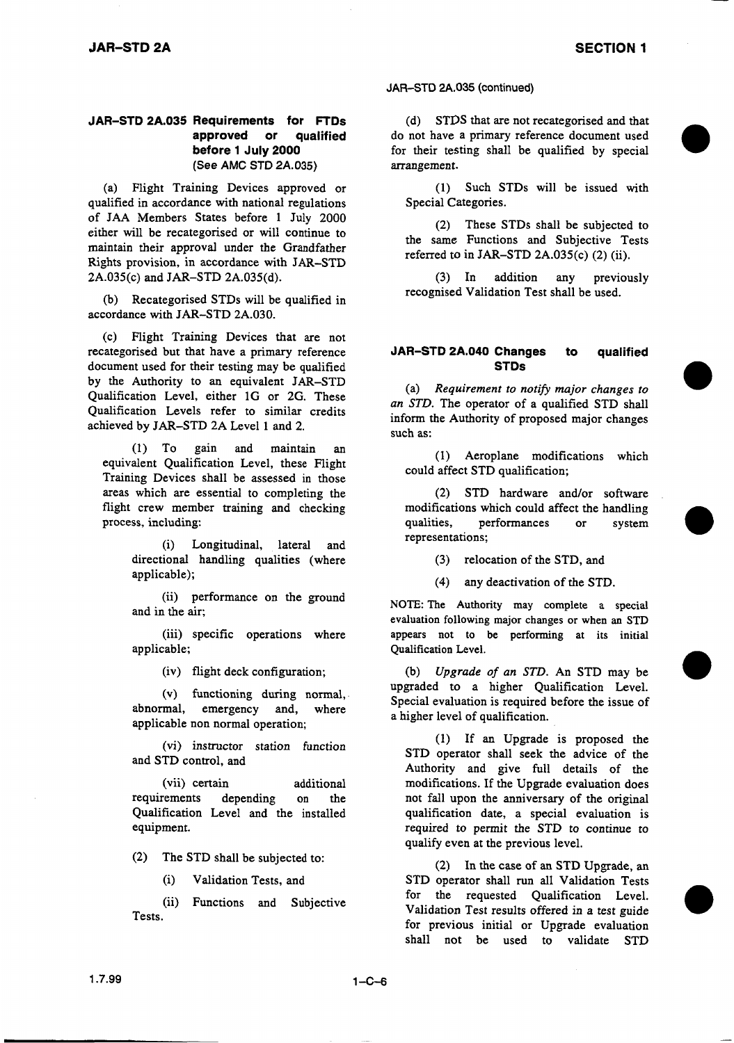#### **JAR-STD 2A.035 Requirements for FTDs approved or qualified before 1 July 2000 (See AMC** STD **2A.035)**

(a) Flight Training Devices approved or qualified in accordance with national regulations of JAA Members States before 1 July 2000 either will be recategonsed or will continue to maintain their approval under the Grandfather Rights provision, in accordance with JAR-STD 2A.035(c) and JAR-STD 2A.035(d).

(b) Recategorised STDs will be qualified in accordance with JAR-STD 2A.030.

(c) Flight Training Devices that are not recategorised but that have a primary reference document used for their testing may be qualified by the Authority to an equivalent JAR-STD Qualification Level, either **1G** or 2G. These Qualification Levels refer to similar credits achieved by JAR-STD 2A Level 1 and 2.

(1) To gain and maintain an equivalent Qualification Level, these Flight Training Devices shall be assessed in those areas which are essential to completing the flight crew member training and checking process, including:

> (i) Longitudinal, lateral and directional handling qualities (where applicable);

> (ii) performance on the ground and in the air;

> (iii) specific operations where applicable;

> > (iv) flight deck configuration;

(v) functioning during normal,<br>abnormal, emergency and, where emergency and, where applicable non normal operation;

(vi) instructor station function and STD control, and

(vii) certain additional requirements depending on the Qualification Level and the installed equipment.

**(2)** The STD shall be subjected to:

(i) Validation Tests, and

(ii) Functions and Subjective Tests.

#### **JAR-STD 2A.035** (continued)

**e** (d) **STDS** that are not recategorised and that do not have a primary reference document used for their testing shall be qualified by special arrangement.

(1) Such STDs will be issued with Special Categories.

(2) These STDs shall be subjected to the **same** Functions and Subjective Tests referred to in JAR-STD  $2A.035(c)$  (2) (ii).

(3) In addition any previously recognised Validation Test shall be used.

# **JAR-CTD 2A.040 Changes to aualified e STD 2A.040 Changes to qualified**<br>**extra STDs**<br>(a) *Requirement to notify major changes to*

an STD. The operator of a qualified STD shall inform the Authority of proposed major changes such as:

(1) Aeroplane modifications which could affect STD qualification;

(2) STD hardware and/or software modifications which could affect the handling qualities, performances or system (2) STD hardware and/or software<br>modifications which could affect the handling<br>qualities, performances or system<br>representations;

- (3) relocation of the STD, and
- **(4)** any deactivation of the STD.

**NOTE:** The Authority may complete **a** special evaluation following major changes or when an **STD**  appears not to be performing at its initial Qualification Level.

(b) *Upgrade of an STD.* An STD may be upgraded **to** a higher Qualification Level. Special evaluation is required before the issue of a higher level of qualification.

(1) If an Upgrade is proposed the STD operator shall seek the advice of the Authority and give full details of the modifications. If the Upgrade evaluation does not fall upon the anniversary of the original qualification date, a special evaluation is required to permit the STD to continue to qualify even at the previous level.

(2) In the case of an STD Upgrade, **an**  STD operator shall run all Validation Tests for the requested Qualification Level. Validation Test results offered in a test guide for previous initial or Upgrade evaluation shall not be used to validate STD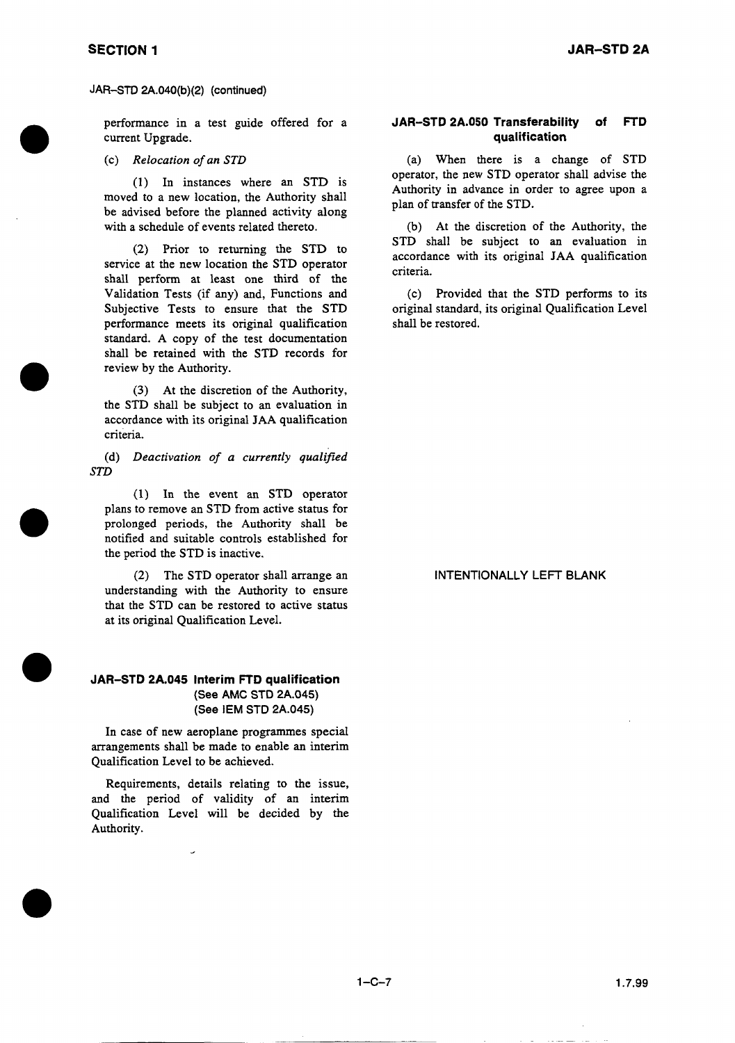-

### JAR-STD 2A.O40(b)(2) (continued)

performance in a test guide offered for a **a** current Upgrade.

#### (c) *Relocation* of *an STD*

(1) In instances where an STD is moved to a new location, the Authority shall be advised before the planned activity along with a schedule of events related thereto.

(2) Prior to returning the STD to service at the new location the STD operator shall perform at least one third of the Validation Tests (if any) and, Functions and Subjective Tests to ensure that the STD performance meets its original qualification standard. A copy of the test documentation shall be retained with the STD records for review by the Authority.<br>
(3) At the discretion of the Authority,

the STD shall be subject to an evaluation in accordance with its original JAA qualification criteria.

(d) *Deactivation of a currently qualified STD* 

(1) In the event an STD operator plans to remove an STD from active status for prolonged periods, the Authority shall be notified and suitable controls established for the period the STD is inactive.

The STD operator shall arrange an **(2)**  understanding with the Authority to ensure that the STD can be restored to active status at its original Qualification Level.

### **JAR-STD 2A.045 Interim FTD qualification**  (See AMC STD 2A.045) (See **IEM** STD 2A.045)

In case of new aeroplane programmes special arrangements shall be made to enable **an** interim Qualification Level to be achieved.

Requirements, details relating to the issue, and the period of validity of an interim Qualification Level will be decided by the Authority.

#### **JAR-STD 2A.050 Transferability of FTD qualification**

(a) When there is a change of STD operator, the new STD operator shall advise the Authority in advance in order to agree upon a plan of transfer of the STD.

(b) At the discretion of the Authority, the STD shall be subject to an evaluation in accordance with its original JAA qualification criteria.

(c) Provided that the STD performs to its original standard, its original Qualification Level shall be restored.